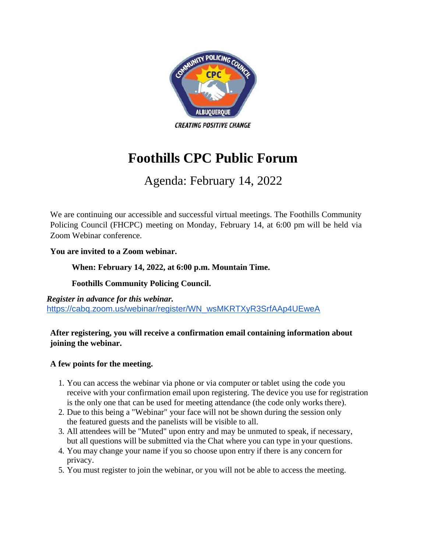

# **Foothills CPC Public Forum**

## Agenda: February 14, 2022

We are continuing our accessible and successful virtual meetings. The Foothills Community Policing Council (FHCPC) meeting on Monday, February 14, at 6:00 pm will be held via Zoom Webinar conference.

#### **You are invited to a Zoom webinar.**

#### **When: February 14, 2022, at 6:00 p.m. Mountain Time.**

#### **Foothills Community Policing Council.**

*Register in advance for this webinar.* [https://cabq.zoom.us/webinar/register/WN\\_wsMKRTXyR3SrfAAp4UEweA](https://cabq.zoom.us/webinar/register/WN_wsMKRTXyR3SrfAAp4UEweA)

#### **After registering, you will receive a confirmation email containing information about joining the webinar.**

#### **A few points for the meeting.**

- 1. You can access the webinar via phone or via computer or tablet using the code you receive with your confirmation email upon registering. The device you use for registration is the only one that can be used for meeting attendance (the code only works there).
- 2. Due to this being a "Webinar" your face will not be shown during the session only the featured guests and the panelists will be visible to all.
- 3. All attendees will be "Muted" upon entry and may be unmuted to speak, if necessary, but all questions will be submitted via the Chat where you can type in your questions.
- 4. You may change your name if you so choose upon entry if there is any concern for privacy.
- 5. You must register to join the webinar, or you will not be able to access the meeting.